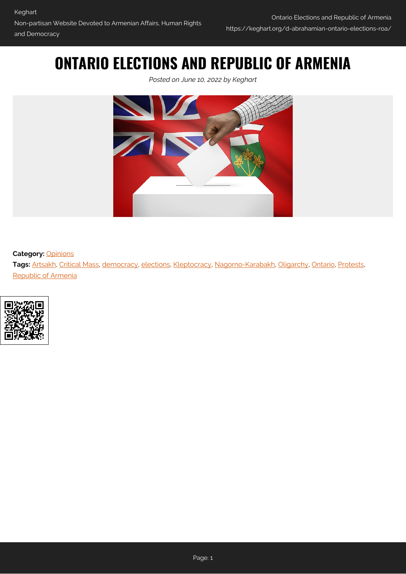## **ONTARIO ELECTIONS AND REPUBLIC OF ARMENIA**

*Posted on June 10, 2022 by Keghart*



## **Category:** [Opinions](https://keghart.org/category/opinions/)

**Tags:** [Artsakh](https://keghart.org/tag/artsakh/), [Critical Mass](https://keghart.org/tag/critical-mass/), [democracy,](https://keghart.org/tag/democracy/) [elections](https://keghart.org/tag/elections/), [Kleptocracy](https://keghart.org/tag/kleptocracy/), [Nagorno-Karabakh](https://keghart.org/tag/nagorno-karabakh/), [Oligarchy](https://keghart.org/tag/oligarchy/), [Ontario,](https://keghart.org/tag/ontario/) [Protests,](https://keghart.org/tag/protests/) [Republic of Armenia](https://keghart.org/tag/republic-of-armenia/)

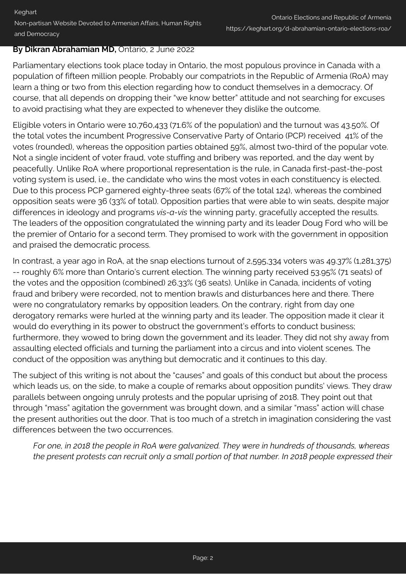## **By Dikran Abrahamian MD,** Ontario, 2 June 2022

Parliamentary elections took place today in Ontario, the most populous province in Canada with a population of fifteen million people. Probably our compatriots in the Republic of Armenia (RoA) may learn a thing or two from this election regarding how to conduct themselves in a democracy. Of course, that all depends on dropping their "we know better" attitude and not searching for excuses to avoid practising what they are expected to whenever they dislike the outcome.

Eligible voters in Ontario were 10,760,433 (71.6% of the population) and the turnout was 43.50%. Of the total votes the incumbent Progressive Conservative Party of Ontario (PCP) received 41% of the votes (rounded), whereas the opposition parties obtained 59%, almost two-third of the popular vote. Not a single incident of voter fraud, vote stuffing and bribery was reported, and the day went by peacefully. Unlike RoA where proportional representation is the rule, in Canada first-past-the-post voting system is used, i.e., the candidate who wins the most votes in each constituency is elected. Due to this process PCP garnered eighty-three seats (67% of the total 124), whereas the combined opposition seats were 36 (33% of total). Opposition parties that were able to win seats, despite major differences in ideology and programs *vis-a-vis* the winning party, gracefully accepted the results. The leaders of the opposition congratulated the winning party and its leader Doug Ford who will be the premier of Ontario for a second term. They promised to work with the government in opposition and praised the democratic process.

In contrast, a year ago in RoA, at the snap elections turnout of 2,595,334 voters was 49.37% (1,281,375) -- roughly 6% more than Ontario's current election. The winning party received 53.95% (71 seats) of the votes and the opposition (combined) 26.33% (36 seats). Unlike in Canada, incidents of voting fraud and bribery were recorded, not to mention brawls and disturbances here and there. There were no congratulatory remarks by opposition leaders. On the contrary, right from day one derogatory remarks were hurled at the winning party and its leader. The opposition made it clear it would do everything in its power to obstruct the government's efforts to conduct business; furthermore, they wowed to bring down the government and its leader. They did not shy away from assaulting elected officials and turning the parliament into a circus and into violent scenes. The conduct of the opposition was anything but democratic and it continues to this day.

The subject of this writing is not about the "causes" and goals of this conduct but about the process which leads us, on the side, to make a couple of remarks about opposition pundits' views. They draw parallels between ongoing unruly protests and the popular uprising of 2018. They point out that through "mass" agitation the government was brought down, and a similar "mass" action will chase the present authorities out the door. That is too much of a stretch in imagination considering the vast differences between the two occurrences.

*For one, in 2018 the people in RoA were galvanized. They were in hundreds of thousands, whereas the present protests can recruit only a small portion of that number. In 2018 people expressed their*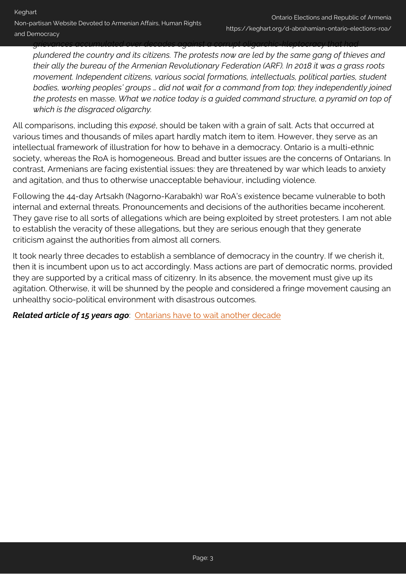*grievances accumulated over decades against a corrupt oligarchic-kleptocracy that had plundered the country and its citizens. The protests now are led by the same gang of thieves and their ally the bureau of the Armenian Revolutionary Federation (ARF). In 2018 it was a grass roots movement. Independent citizens, various social formations, intellectuals, political parties, student bodies, working peoples' groups … did not wait for a command from top; they independently joined the protests* en masse. *What we notice today is a guided command structure, a pyramid on top of which is the disgraced oligarchy.*

All comparisons, including this *exposé*, should be taken with a grain of salt. Acts that occurred at various times and thousands of miles apart hardly match item to item. However, they serve as an intellectual framework of illustration for how to behave in a democracy. Ontario is a multi-ethnic society, whereas the RoA is homogeneous. Bread and butter issues are the concerns of Ontarians. In contrast, Armenians are facing existential issues: they are threatened by war which leads to anxiety and agitation, and thus to otherwise unacceptable behaviour, including violence.

Following the 44-day Artsakh (Nagorno-Karabakh) war RoA's existence became vulnerable to both internal and external threats. Pronouncements and decisions of the authorities became incoherent. They gave rise to all sorts of allegations which are being exploited by street protesters. I am not able to establish the veracity of these allegations, but they are serious enough that they generate criticism against the authorities from almost all corners.

It took nearly three decades to establish a semblance of democracy in the country. If we cherish it, then it is incumbent upon us to act accordingly. Mass actions are part of democratic norms, provided they are supported by a critical mass of citizenry. In its absence, the movement must give up its agitation. Otherwise, it will be shunned by the people and considered a fringe movement causing an unhealthy socio-political environment with disastrous outcomes.

*Related article of 15 years ago*: [Ontarians have to wait another decade](https://keghart.org/d-abrahamian-ontarians-wait-decade/)